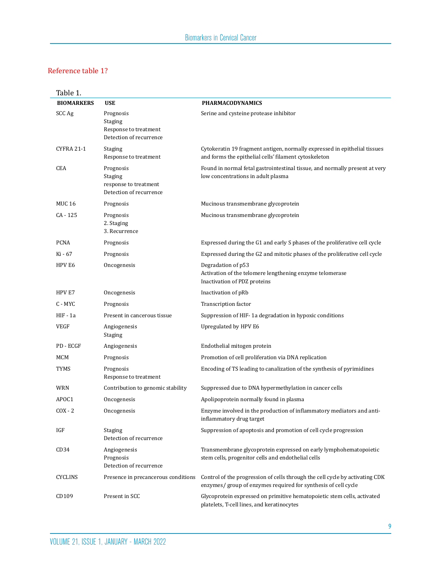| Table 1.          |                                                                                 |                                                                                                                                                |
|-------------------|---------------------------------------------------------------------------------|------------------------------------------------------------------------------------------------------------------------------------------------|
| <b>BIOMARKERS</b> | <b>USE</b>                                                                      | <b>PHARMACODYNAMICS</b>                                                                                                                        |
| SCC Ag            | Prognosis<br>Staging<br>Response to treatment<br>Detection of recurrence        | Serine and cysteine protease inhibitor                                                                                                         |
| <b>CYFRA 21-1</b> | <b>Staging</b><br>Response to treatment                                         | Cytokeratin 19 fragment antigen, normally expressed in epithelial tissues<br>and forms the epithelial cells' filament cytoskeleton             |
| CEA               | Prognosis<br><b>Staging</b><br>response to treatment<br>Detection of recurrence | Found in normal fetal gastrointestinal tissue, and normally present at very<br>low concentrations in adult plasma                              |
| <b>MUC 16</b>     | Prognosis                                                                       | Mucinous transmembrane glycoprotein                                                                                                            |
| $CA - 125$        | Prognosis<br>2. Staging<br>3. Recurrence                                        | Mucinous transmembrane glycoprotein                                                                                                            |
| <b>PCNA</b>       | Prognosis                                                                       | Expressed during the G1 and early S phases of the proliferative cell cycle                                                                     |
| Ki - 67           | Prognosis                                                                       | Expressed during the G2 and mitotic phases of the proliferative cell cycle                                                                     |
| HPV E6            | Oncogenesis                                                                     | Degradation of p53<br>Activation of the telomere lengthening enzyme telomerase<br>Inactivation of PDZ proteins                                 |
| HPV E7            | Oncogenesis                                                                     | Inactivation of pRb                                                                                                                            |
| C - MYC           | Prognosis                                                                       | Transcription factor                                                                                                                           |
| HIF-1a            | Present in cancerous tissue                                                     | Suppression of HIF-1a degradation in hypoxic conditions                                                                                        |
| VEGF              | Angiogenesis<br><b>Staging</b>                                                  | Upregulated by HPV E6                                                                                                                          |
| PD - ECGF         | Angiogenesis                                                                    | Endothelial mitogen protein                                                                                                                    |
| MCM               | Prognosis                                                                       | Promotion of cell proliferation via DNA replication                                                                                            |
| TYMS              | Prognosis<br>Response to treatment                                              | Encoding of TS leading to canalization of the synthesis of pyrimidines                                                                         |
| WRN               | Contribution to genomic stability                                               | Suppressed due to DNA hypermethylation in cancer cells                                                                                         |
| APOC1             | Oncogenesis                                                                     | Apolipoprotein normally found in plasma                                                                                                        |
| $COX - 2$         | Oncogenesis                                                                     | Enzyme involved in the production of inflammatory mediators and anti-<br>inflammatory drug target                                              |
| IGF               | <b>Staging</b><br>Detection of recurrence                                       | Suppression of apoptosis and promotion of cell cycle progression                                                                               |
| CD <sub>34</sub>  | Angiogenesis<br>Prognosis<br>Detection of recurrence                            | Transmembrane glycoprotein expressed on early lymphohematopoietic<br>stem cells, progenitor cells and endothelial cells                        |
| <b>CYCLINS</b>    | Presence in precancerous conditions                                             | Control of the progression of cells through the cell cycle by activating CDK<br>enzymes/ group of enzymes required for synthesis of cell cycle |
| CD109             | Present in SCC                                                                  | Glycoprotein expressed on primitive hematopoietic stem cells, activated<br>platelets, T-cell lines, and keratinocytes                          |